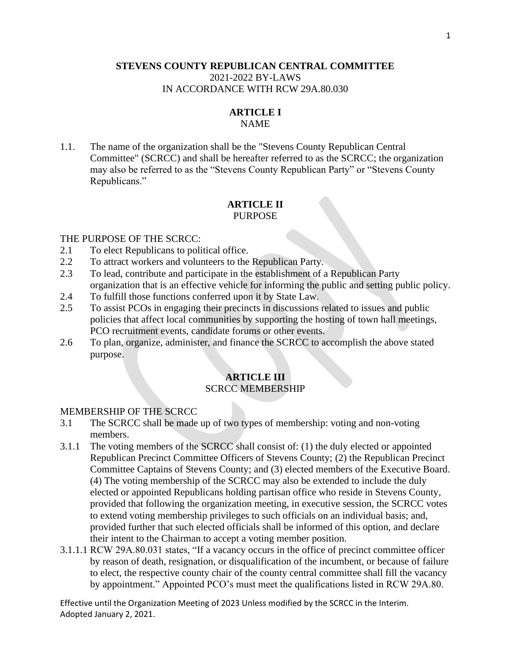#### **STEVENS COUNTY REPUBLICAN CENTRAL COMMITTEE** 2021-2022 BY-LAWS IN ACCORDANCE WITH RCW 29A.80.030

## **ARTICLE I**

#### NAME

1.1. The name of the organization shall be the "Stevens County Republican Central Committee" (SCRCC) and shall be hereafter referred to as the SCRCC; the organization may also be referred to as the "Stevens County Republican Party" or "Stevens County Republicans."

#### **ARTICLE II** PURPOSE

#### THE PURPOSE OF THE SCRCC:

- 2.1 To elect Republicans to political office.
- 2.2 To attract workers and volunteers to the Republican Party.
- 2.3 To lead, contribute and participate in the establishment of a Republican Party organization that is an effective vehicle for informing the public and setting public policy.
- 2.4 To fulfill those functions conferred upon it by State Law.
- 2.5 To assist PCOs in engaging their precincts in discussions related to issues and public policies that affect local communities by supporting the hosting of town hall meetings, PCO recruitment events, candidate forums or other events.
- 2.6 To plan, organize, administer, and finance the SCRCC to accomplish the above stated purpose.

#### **ARTICLE III** SCRCC MEMBERSHIP

#### MEMBERSHIP OF THE SCRCC

- 3.1 The SCRCC shall be made up of two types of membership: voting and non-voting members.
- 3.1.1 The voting members of the SCRCC shall consist of: (1) the duly elected or appointed Republican Precinct Committee Officers of Stevens County; (2) the Republican Precinct Committee Captains of Stevens County; and (3) elected members of the Executive Board. (4) The voting membership of the SCRCC may also be extended to include the duly elected or appointed Republicans holding partisan office who reside in Stevens County, provided that following the organization meeting, in executive session, the SCRCC votes to extend voting membership privileges to such officials on an individual basis; and, provided further that such elected officials shall be informed of this option, and declare their intent to the Chairman to accept a voting member position.
- 3.1.1.1 RCW 29A.80.031 states, "If a vacancy occurs in the office of precinct committee officer by reason of death, resignation, or disqualification of the incumbent, or because of failure to elect, the respective county chair of the county central committee shall fill the vacancy by appointment." Appointed PCO's must meet the qualifications listed in RCW 29A.80.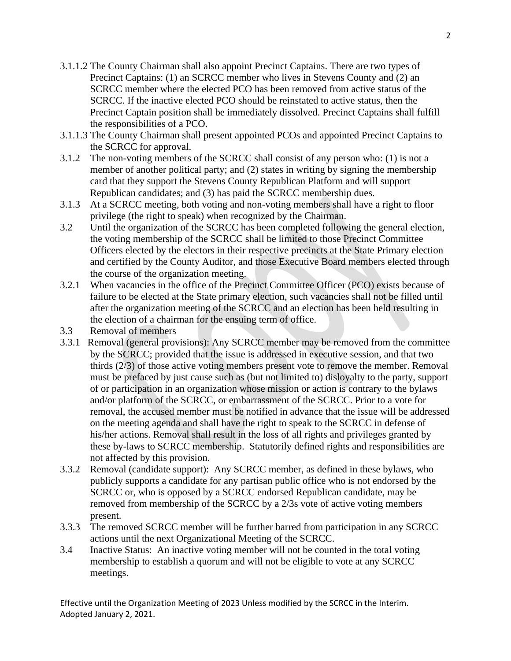- 3.1.1.2 The County Chairman shall also appoint Precinct Captains. There are two types of Precinct Captains: (1) an SCRCC member who lives in Stevens County and (2) an SCRCC member where the elected PCO has been removed from active status of the SCRCC. If the inactive elected PCO should be reinstated to active status, then the Precinct Captain position shall be immediately dissolved. Precinct Captains shall fulfill the responsibilities of a PCO.
- 3.1.1.3 The County Chairman shall present appointed PCOs and appointed Precinct Captains to the SCRCC for approval.
- 3.1.2 The non-voting members of the SCRCC shall consist of any person who: (1) is not a member of another political party; and (2) states in writing by signing the membership card that they support the Stevens County Republican Platform and will support Republican candidates; and (3) has paid the SCRCC membership dues.
- 3.1.3 At a SCRCC meeting, both voting and non-voting members shall have a right to floor privilege (the right to speak) when recognized by the Chairman.
- 3.2 Until the organization of the SCRCC has been completed following the general election, the voting membership of the SCRCC shall be limited to those Precinct Committee Officers elected by the electors in their respective precincts at the State Primary election and certified by the County Auditor, and those Executive Board members elected through the course of the organization meeting.
- 3.2.1 When vacancies in the office of the Precinct Committee Officer (PCO) exists because of failure to be elected at the State primary election, such vacancies shall not be filled until after the organization meeting of the SCRCC and an election has been held resulting in the election of a chairman for the ensuing term of office.
- 3.3 Removal of members
- 3.3.1 Removal (general provisions): Any SCRCC member may be removed from the committee by the SCRCC; provided that the issue is addressed in executive session, and that two thirds (2/3) of those active voting members present vote to remove the member. Removal must be prefaced by just cause such as (but not limited to) disloyalty to the party, support of or participation in an organization whose mission or action is contrary to the bylaws and/or platform of the SCRCC, or embarrassment of the SCRCC. Prior to a vote for removal, the accused member must be notified in advance that the issue will be addressed on the meeting agenda and shall have the right to speak to the SCRCC in defense of his/her actions. Removal shall result in the loss of all rights and privileges granted by these by-laws to SCRCC membership. Statutorily defined rights and responsibilities are not affected by this provision.
- 3.3.2 Removal (candidate support): Any SCRCC member, as defined in these bylaws, who publicly supports a candidate for any partisan public office who is not endorsed by the SCRCC or, who is opposed by a SCRCC endorsed Republican candidate, may be removed from membership of the SCRCC by a 2/3s vote of active voting members present.
- 3.3.3 The removed SCRCC member will be further barred from participation in any SCRCC actions until the next Organizational Meeting of the SCRCC.
- 3.4 Inactive Status: An inactive voting member will not be counted in the total voting membership to establish a quorum and will not be eligible to vote at any SCRCC meetings.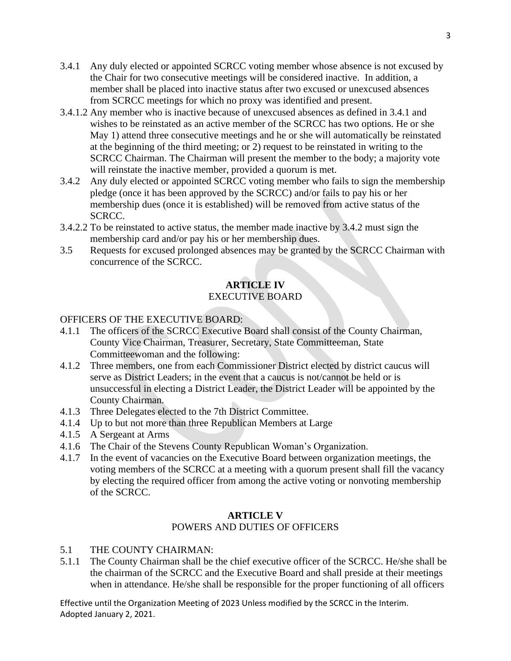- 3.4.1 Any duly elected or appointed SCRCC voting member whose absence is not excused by the Chair for two consecutive meetings will be considered inactive. In addition, a member shall be placed into inactive status after two excused or unexcused absences from SCRCC meetings for which no proxy was identified and present.
- 3.4.1.2 Any member who is inactive because of unexcused absences as defined in 3.4.1 and wishes to be reinstated as an active member of the SCRCC has two options. He or she May 1) attend three consecutive meetings and he or she will automatically be reinstated at the beginning of the third meeting; or 2) request to be reinstated in writing to the SCRCC Chairman. The Chairman will present the member to the body; a majority vote will reinstate the inactive member, provided a quorum is met.
- 3.4.2 Any duly elected or appointed SCRCC voting member who fails to sign the membership pledge (once it has been approved by the SCRCC) and/or fails to pay his or her membership dues (once it is established) will be removed from active status of the SCRCC.
- 3.4.2.2 To be reinstated to active status, the member made inactive by 3.4.2 must sign the membership card and/or pay his or her membership dues.
- 3.5 Requests for excused prolonged absences may be granted by the SCRCC Chairman with concurrence of the SCRCC.

## **ARTICLE IV** EXECUTIVE BOARD

### OFFICERS OF THE EXECUTIVE BOARD:

- 4.1.1 The officers of the SCRCC Executive Board shall consist of the County Chairman, County Vice Chairman, Treasurer, Secretary, State Committeeman, State Committeewoman and the following:
- 4.1.2 Three members, one from each Commissioner District elected by district caucus will serve as District Leaders; in the event that a caucus is not/cannot be held or is unsuccessful in electing a District Leader, the District Leader will be appointed by the County Chairman.
- 4.1.3 Three Delegates elected to the 7th District Committee.
- 4.1.4 Up to but not more than three Republican Members at Large
- 4.1.5 A Sergeant at Arms
- 4.1.6 The Chair of the Stevens County Republican Woman's Organization.
- 4.1.7 In the event of vacancies on the Executive Board between organization meetings, the voting members of the SCRCC at a meeting with a quorum present shall fill the vacancy by electing the required officer from among the active voting or nonvoting membership of the SCRCC.

#### **ARTICLE V** POWERS AND DUTIES OF OFFICERS

- 5.1 THE COUNTY CHAIRMAN:
- 5.1.1 The County Chairman shall be the chief executive officer of the SCRCC. He/she shall be the chairman of the SCRCC and the Executive Board and shall preside at their meetings when in attendance. He/she shall be responsible for the proper functioning of all officers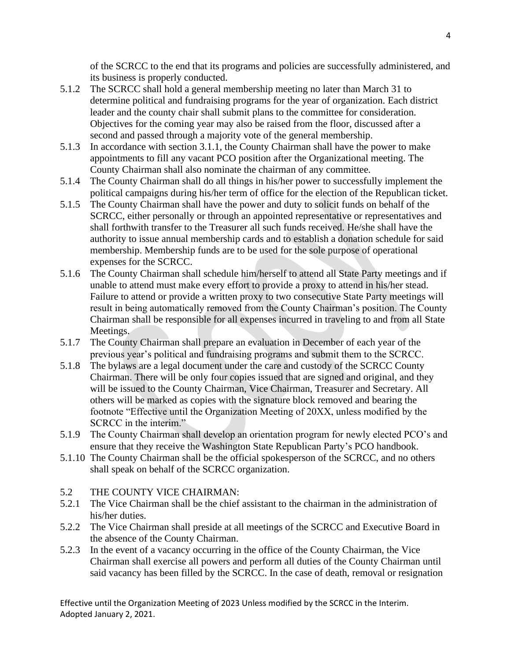of the SCRCC to the end that its programs and policies are successfully administered, and its business is properly conducted.

- 5.1.2 The SCRCC shall hold a general membership meeting no later than March 31 to determine political and fundraising programs for the year of organization. Each district leader and the county chair shall submit plans to the committee for consideration. Objectives for the coming year may also be raised from the floor, discussed after a second and passed through a majority vote of the general membership.
- 5.1.3 In accordance with section 3.1.1, the County Chairman shall have the power to make appointments to fill any vacant PCO position after the Organizational meeting. The County Chairman shall also nominate the chairman of any committee.
- 5.1.4 The County Chairman shall do all things in his/her power to successfully implement the political campaigns during his/her term of office for the election of the Republican ticket.
- 5.1.5 The County Chairman shall have the power and duty to solicit funds on behalf of the SCRCC, either personally or through an appointed representative or representatives and shall forthwith transfer to the Treasurer all such funds received. He/she shall have the authority to issue annual membership cards and to establish a donation schedule for said membership. Membership funds are to be used for the sole purpose of operational expenses for the SCRCC.
- 5.1.6 The County Chairman shall schedule him/herself to attend all State Party meetings and if unable to attend must make every effort to provide a proxy to attend in his/her stead. Failure to attend or provide a written proxy to two consecutive State Party meetings will result in being automatically removed from the County Chairman's position. The County Chairman shall be responsible for all expenses incurred in traveling to and from all State Meetings.
- 5.1.7 The County Chairman shall prepare an evaluation in December of each year of the previous year's political and fundraising programs and submit them to the SCRCC.
- 5.1.8 The bylaws are a legal document under the care and custody of the SCRCC County Chairman. There will be only four copies issued that are signed and original, and they will be issued to the County Chairman, Vice Chairman, Treasurer and Secretary. All others will be marked as copies with the signature block removed and bearing the footnote "Effective until the Organization Meeting of 20XX, unless modified by the SCRCC in the interim."
- 5.1.9 The County Chairman shall develop an orientation program for newly elected PCO's and ensure that they receive the Washington State Republican Party's PCO handbook.
- 5.1.10 The County Chairman shall be the official spokesperson of the SCRCC, and no others shall speak on behalf of the SCRCC organization.
- 5.2 THE COUNTY VICE CHAIRMAN:
- 5.2.1 The Vice Chairman shall be the chief assistant to the chairman in the administration of his/her duties.
- 5.2.2 The Vice Chairman shall preside at all meetings of the SCRCC and Executive Board in the absence of the County Chairman.
- 5.2.3 In the event of a vacancy occurring in the office of the County Chairman, the Vice Chairman shall exercise all powers and perform all duties of the County Chairman until said vacancy has been filled by the SCRCC. In the case of death, removal or resignation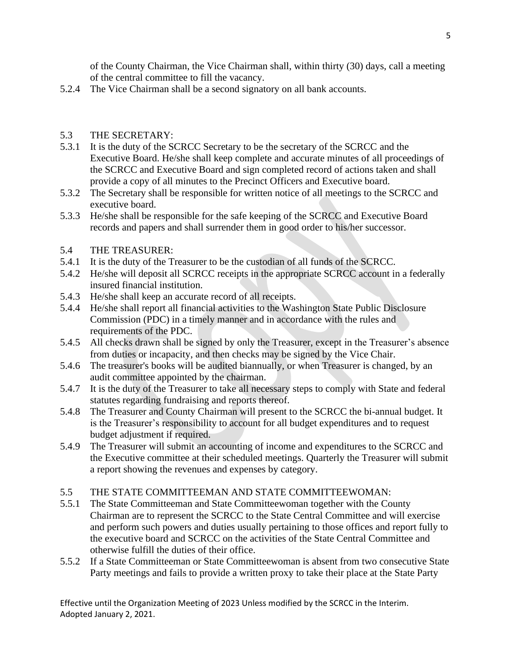of the County Chairman, the Vice Chairman shall, within thirty (30) days, call a meeting of the central committee to fill the vacancy.

5.2.4 The Vice Chairman shall be a second signatory on all bank accounts.

#### 5.3 THE SECRETARY:

- 5.3.1 It is the duty of the SCRCC Secretary to be the secretary of the SCRCC and the Executive Board. He/she shall keep complete and accurate minutes of all proceedings of the SCRCC and Executive Board and sign completed record of actions taken and shall provide a copy of all minutes to the Precinct Officers and Executive board.
- 5.3.2 The Secretary shall be responsible for written notice of all meetings to the SCRCC and executive board.
- 5.3.3 He/she shall be responsible for the safe keeping of the SCRCC and Executive Board records and papers and shall surrender them in good order to his/her successor.

#### 5.4 THE TREASURER:

- 5.4.1 It is the duty of the Treasurer to be the custodian of all funds of the SCRCC.
- 5.4.2 He/she will deposit all SCRCC receipts in the appropriate SCRCC account in a federally insured financial institution.
- 5.4.3 He/she shall keep an accurate record of all receipts.
- 5.4.4 He/she shall report all financial activities to the Washington State Public Disclosure Commission (PDC) in a timely manner and in accordance with the rules and requirements of the PDC.
- 5.4.5 All checks drawn shall be signed by only the Treasurer, except in the Treasurer's absence from duties or incapacity, and then checks may be signed by the Vice Chair.
- 5.4.6 The treasurer's books will be audited biannually, or when Treasurer is changed, by an audit committee appointed by the chairman.
- 5.4.7 It is the duty of the Treasurer to take all necessary steps to comply with State and federal statutes regarding fundraising and reports thereof.
- 5.4.8 The Treasurer and County Chairman will present to the SCRCC the bi-annual budget. It is the Treasurer's responsibility to account for all budget expenditures and to request budget adjustment if required.
- 5.4.9 The Treasurer will submit an accounting of income and expenditures to the SCRCC and the Executive committee at their scheduled meetings. Quarterly the Treasurer will submit a report showing the revenues and expenses by category.
- 5.5 THE STATE COMMITTEEMAN AND STATE COMMITTEEWOMAN:
- 5.5.1 The State Committeeman and State Committeewoman together with the County Chairman are to represent the SCRCC to the State Central Committee and will exercise and perform such powers and duties usually pertaining to those offices and report fully to the executive board and SCRCC on the activities of the State Central Committee and otherwise fulfill the duties of their office.
- 5.5.2 If a State Committeeman or State Committeewoman is absent from two consecutive State Party meetings and fails to provide a written proxy to take their place at the State Party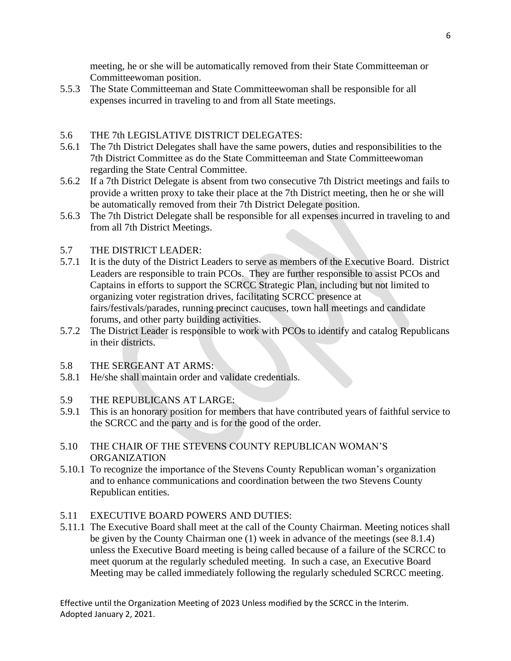meeting, he or she will be automatically removed from their State Committeeman or Committeewoman position.

5.5.3 The State Committeeman and State Committeewoman shall be responsible for all expenses incurred in traveling to and from all State meetings.

### 5.6 THE 7th LEGISLATIVE DISTRICT DELEGATES:

- 5.6.1 The 7th District Delegates shall have the same powers, duties and responsibilities to the 7th District Committee as do the State Committeeman and State Committeewoman regarding the State Central Committee.
- 5.6.2 If a 7th District Delegate is absent from two consecutive 7th District meetings and fails to provide a written proxy to take their place at the 7th District meeting, then he or she will be automatically removed from their 7th District Delegate position.
- 5.6.3 The 7th District Delegate shall be responsible for all expenses incurred in traveling to and from all 7th District Meetings.

#### 5.7 THE DISTRICT LEADER:

- 5.7.1 It is the duty of the District Leaders to serve as members of the Executive Board. District Leaders are responsible to train PCOs. They are further responsible to assist PCOs and Captains in efforts to support the SCRCC Strategic Plan, including but not limited to organizing voter registration drives, facilitating SCRCC presence at fairs/festivals/parades, running precinct caucuses, town hall meetings and candidate forums, and other party building activities.
- 5.7.2 The District Leader is responsible to work with PCOs to identify and catalog Republicans in their districts.
- 5.8 THE SERGEANT AT ARMS:
- 5.8.1 He/she shall maintain order and validate credentials.
- 5.9 THE REPUBLICANS AT LARGE:
- 5.9.1 This is an honorary position for members that have contributed years of faithful service to the SCRCC and the party and is for the good of the order.
- 5.10 THE CHAIR OF THE STEVENS COUNTY REPUBLICAN WOMAN'S ORGANIZATION
- 5.10.1 To recognize the importance of the Stevens County Republican woman's organization and to enhance communications and coordination between the two Stevens County Republican entities.
- 5.11 EXECUTIVE BOARD POWERS AND DUTIES:
- 5.11.1 The Executive Board shall meet at the call of the County Chairman. Meeting notices shall be given by the County Chairman one (1) week in advance of the meetings (see 8.1.4) unless the Executive Board meeting is being called because of a failure of the SCRCC to meet quorum at the regularly scheduled meeting. In such a case, an Executive Board Meeting may be called immediately following the regularly scheduled SCRCC meeting.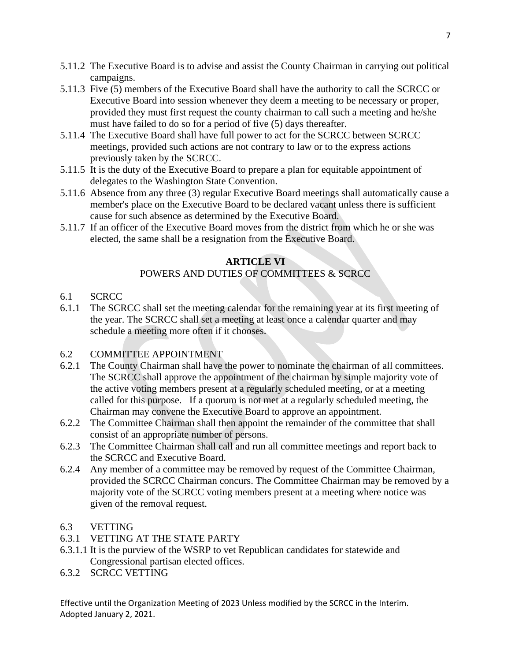- 5.11.2 The Executive Board is to advise and assist the County Chairman in carrying out political campaigns.
- 5.11.3 Five (5) members of the Executive Board shall have the authority to call the SCRCC or Executive Board into session whenever they deem a meeting to be necessary or proper, provided they must first request the county chairman to call such a meeting and he/she must have failed to do so for a period of five (5) days thereafter.
- 5.11.4 The Executive Board shall have full power to act for the SCRCC between SCRCC meetings, provided such actions are not contrary to law or to the express actions previously taken by the SCRCC.
- 5.11.5 It is the duty of the Executive Board to prepare a plan for equitable appointment of delegates to the Washington State Convention.
- 5.11.6 Absence from any three (3) regular Executive Board meetings shall automatically cause a member's place on the Executive Board to be declared vacant unless there is sufficient cause for such absence as determined by the Executive Board.
- 5.11.7 If an officer of the Executive Board moves from the district from which he or she was elected, the same shall be a resignation from the Executive Board.

### **ARTICLE VI**

### POWERS AND DUTIES OF COMMITTEES & SCRCC

- 6.1 SCRCC
- 6.1.1 The SCRCC shall set the meeting calendar for the remaining year at its first meeting of the year. The SCRCC shall set a meeting at least once a calendar quarter and may schedule a meeting more often if it chooses.

### 6.2 COMMITTEE APPOINTMENT

- 6.2.1 The County Chairman shall have the power to nominate the chairman of all committees. The SCRCC shall approve the appointment of the chairman by simple majority vote of the active voting members present at a regularly scheduled meeting, or at a meeting called for this purpose. If a quorum is not met at a regularly scheduled meeting, the Chairman may convene the Executive Board to approve an appointment.
- 6.2.2 The Committee Chairman shall then appoint the remainder of the committee that shall consist of an appropriate number of persons.
- 6.2.3 The Committee Chairman shall call and run all committee meetings and report back to the SCRCC and Executive Board.
- 6.2.4 Any member of a committee may be removed by request of the Committee Chairman, provided the SCRCC Chairman concurs. The Committee Chairman may be removed by a majority vote of the SCRCC voting members present at a meeting where notice was given of the removal request.

#### 6.3 VETTING

- 6.3.1 VETTING AT THE STATE PARTY
- 6.3.1.1 It is the purview of the WSRP to vet Republican candidates for statewide and Congressional partisan elected offices.
- 6.3.2 SCRCC VETTING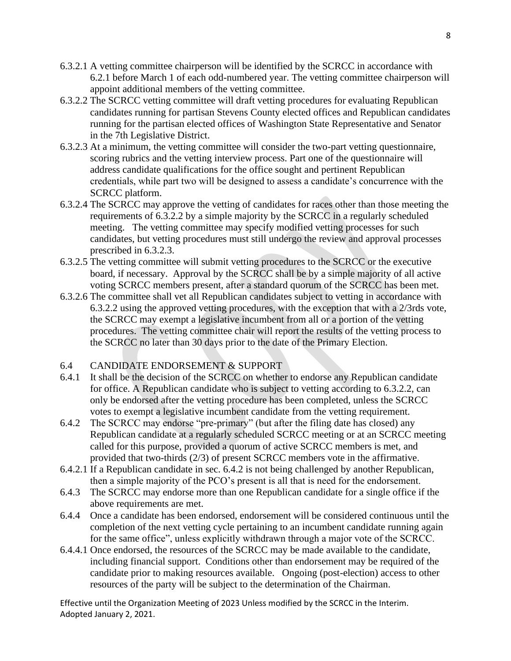- 6.3.2.1 A vetting committee chairperson will be identified by the SCRCC in accordance with 6.2.1 before March 1 of each odd-numbered year. The vetting committee chairperson will appoint additional members of the vetting committee.
- 6.3.2.2 The SCRCC vetting committee will draft vetting procedures for evaluating Republican candidates running for partisan Stevens County elected offices and Republican candidates running for the partisan elected offices of Washington State Representative and Senator in the 7th Legislative District.
- 6.3.2.3 At a minimum, the vetting committee will consider the two-part vetting questionnaire, scoring rubrics and the vetting interview process. Part one of the questionnaire will address candidate qualifications for the office sought and pertinent Republican credentials, while part two will be designed to assess a candidate's concurrence with the SCRCC platform.
- 6.3.2.4 The SCRCC may approve the vetting of candidates for races other than those meeting the requirements of 6.3.2.2 by a simple majority by the SCRCC in a regularly scheduled meeting. The vetting committee may specify modified vetting processes for such candidates, but vetting procedures must still undergo the review and approval processes prescribed in 6.3.2.3.
- 6.3.2.5 The vetting committee will submit vetting procedures to the SCRCC or the executive board, if necessary. Approval by the SCRCC shall be by a simple majority of all active voting SCRCC members present, after a standard quorum of the SCRCC has been met.
- 6.3.2.6 The committee shall vet all Republican candidates subject to vetting in accordance with 6.3.2.2 using the approved vetting procedures, with the exception that with a 2/3rds vote, the SCRCC may exempt a legislative incumbent from all or a portion of the vetting procedures. The vetting committee chair will report the results of the vetting process to the SCRCC no later than 30 days prior to the date of the Primary Election.

### 6.4 CANDIDATE ENDORSEMENT & SUPPORT

- 6.4.1 It shall be the decision of the SCRCC on whether to endorse any Republican candidate for office. A Republican candidate who is subject to vetting according to 6.3.2.2, can only be endorsed after the vetting procedure has been completed, unless the SCRCC votes to exempt a legislative incumbent candidate from the vetting requirement.
- 6.4.2 The SCRCC may endorse "pre-primary" (but after the filing date has closed) any Republican candidate at a regularly scheduled SCRCC meeting or at an SCRCC meeting called for this purpose, provided a quorum of active SCRCC members is met, and provided that two-thirds (2/3) of present SCRCC members vote in the affirmative.
- 6.4.2.1 If a Republican candidate in sec. 6.4.2 is not being challenged by another Republican, then a simple majority of the PCO's present is all that is need for the endorsement.
- 6.4.3 The SCRCC may endorse more than one Republican candidate for a single office if the above requirements are met.
- 6.4.4 Once a candidate has been endorsed, endorsement will be considered continuous until the completion of the next vetting cycle pertaining to an incumbent candidate running again for the same office", unless explicitly withdrawn through a major vote of the SCRCC.
- 6.4.4.1 Once endorsed, the resources of the SCRCC may be made available to the candidate, including financial support. Conditions other than endorsement may be required of the candidate prior to making resources available. Ongoing (post-election) access to other resources of the party will be subject to the determination of the Chairman.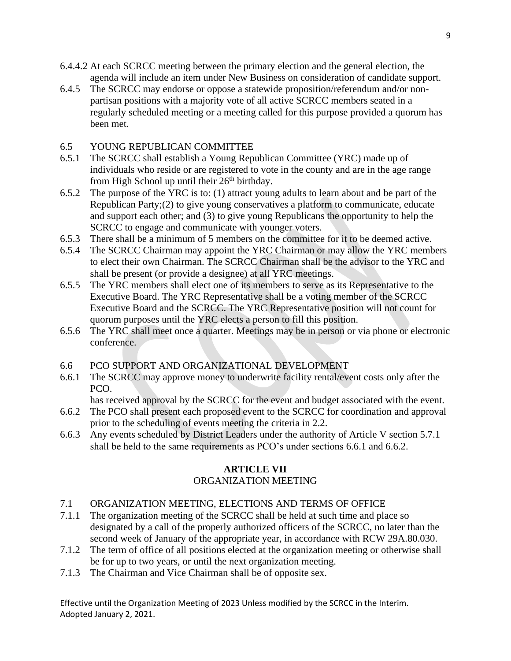- 6.4.4.2 At each SCRCC meeting between the primary election and the general election, the agenda will include an item under New Business on consideration of candidate support.
- 6.4.5 The SCRCC may endorse or oppose a statewide proposition/referendum and/or nonpartisan positions with a majority vote of all active SCRCC members seated in a regularly scheduled meeting or a meeting called for this purpose provided a quorum has been met.

## 6.5 YOUNG REPUBLICAN COMMITTEE

- 6.5.1 The SCRCC shall establish a Young Republican Committee (YRC) made up of individuals who reside or are registered to vote in the county and are in the age range from High School up until their  $26<sup>th</sup>$  birthday.
- 6.5.2 The purpose of the YRC is to: (1) attract young adults to learn about and be part of the Republican Party;(2) to give young conservatives a platform to communicate, educate and support each other; and (3) to give young Republicans the opportunity to help the SCRCC to engage and communicate with younger voters.
- 6.5.3 There shall be a minimum of 5 members on the committee for it to be deemed active.
- 6.5.4 The SCRCC Chairman may appoint the YRC Chairman or may allow the YRC members to elect their own Chairman. The SCRCC Chairman shall be the advisor to the YRC and shall be present (or provide a designee) at all YRC meetings.
- 6.5.5 The YRC members shall elect one of its members to serve as its Representative to the Executive Board. The YRC Representative shall be a voting member of the SCRCC Executive Board and the SCRCC. The YRC Representative position will not count for quorum purposes until the YRC elects a person to fill this position.
- 6.5.6 The YRC shall meet once a quarter. Meetings may be in person or via phone or electronic conference.
- 6.6 PCO SUPPORT AND ORGANIZATIONAL DEVELOPMENT
- 6.6.1 The SCRCC may approve money to underwrite facility rental/event costs only after the PCO.

has received approval by the SCRCC for the event and budget associated with the event.

- 6.6.2 The PCO shall present each proposed event to the SCRCC for coordination and approval prior to the scheduling of events meeting the criteria in 2.2.
- 6.6.3 Any events scheduled by District Leaders under the authority of Article V section 5.7.1 shall be held to the same requirements as PCO's under sections 6.6.1 and 6.6.2.

# **ARTICLE VII**

# ORGANIZATION MEETING

- 7.1 ORGANIZATION MEETING, ELECTIONS AND TERMS OF OFFICE
- 7.1.1 The organization meeting of the SCRCC shall be held at such time and place so designated by a call of the properly authorized officers of the SCRCC, no later than the second week of January of the appropriate year, in accordance with RCW 29A.80.030.
- 7.1.2 The term of office of all positions elected at the organization meeting or otherwise shall be for up to two years, or until the next organization meeting.
- 7.1.3 The Chairman and Vice Chairman shall be of opposite sex.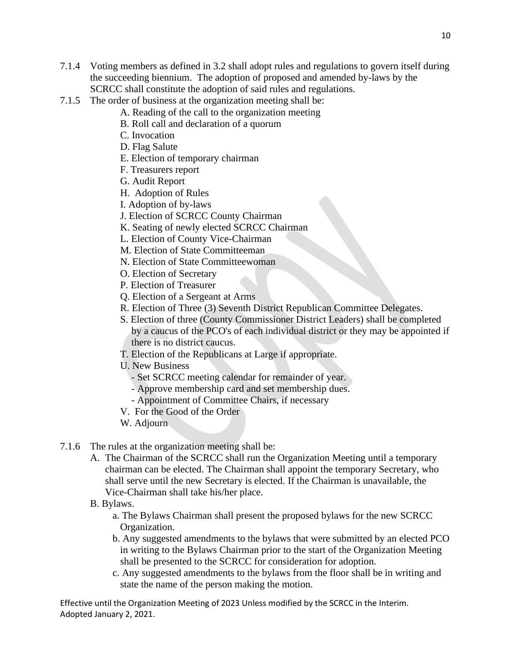- 7.1.4 Voting members as defined in 3.2 shall adopt rules and regulations to govern itself during the succeeding biennium. The adoption of proposed and amended by-laws by the SCRCC shall constitute the adoption of said rules and regulations.
- 7.1.5 The order of business at the organization meeting shall be:
	- A. Reading of the call to the organization meeting
	- B. Roll call and declaration of a quorum
	- C. Invocation
	- D. Flag Salute
	- E. Election of temporary chairman
	- F. Treasurers report
	- G. Audit Report
	- H. Adoption of Rules
	- I. Adoption of by-laws
	- J. Election of SCRCC County Chairman
	- K. Seating of newly elected SCRCC Chairman
	- L. Election of County Vice-Chairman
	- M. Election of State Committeeman
	- N. Election of State Committeewoman
	- O. Election of Secretary
	- P. Election of Treasurer
	- Q. Election of a Sergeant at Arms
	- R. Election of Three (3) Seventh District Republican Committee Delegates.
	- S. Election of three (County Commissioner District Leaders) shall be completed by a caucus of the PCO's of each individual district or they may be appointed if there is no district caucus.
	- T. Election of the Republicans at Large if appropriate.
	- U. New Business
		- Set SCRCC meeting calendar for remainder of year.
		- Approve membership card and set membership dues.
		- Appointment of Committee Chairs, if necessary
	- V. For the Good of the Order
	- W. Adjourn
- 7.1.6 The rules at the organization meeting shall be:
	- A. The Chairman of the SCRCC shall run the Organization Meeting until a temporary chairman can be elected. The Chairman shall appoint the temporary Secretary, who shall serve until the new Secretary is elected. If the Chairman is unavailable, the Vice-Chairman shall take his/her place.
	- B. Bylaws.
		- a. The Bylaws Chairman shall present the proposed bylaws for the new SCRCC Organization.
		- b. Any suggested amendments to the bylaws that were submitted by an elected PCO in writing to the Bylaws Chairman prior to the start of the Organization Meeting shall be presented to the SCRCC for consideration for adoption.
		- c. Any suggested amendments to the bylaws from the floor shall be in writing and state the name of the person making the motion.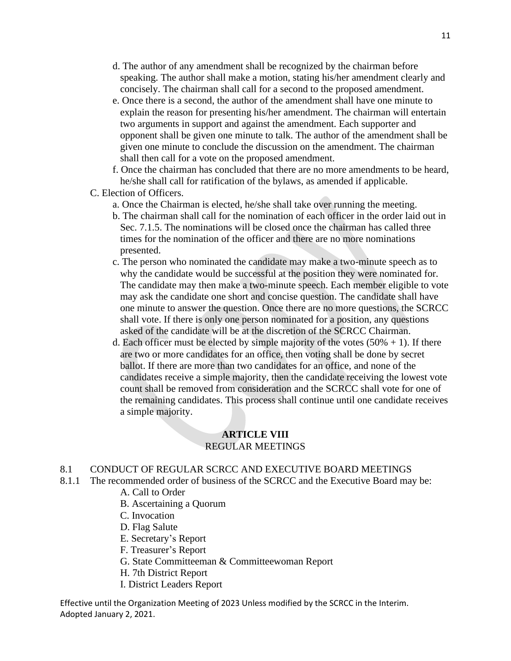- d. The author of any amendment shall be recognized by the chairman before speaking. The author shall make a motion, stating his/her amendment clearly and concisely. The chairman shall call for a second to the proposed amendment.
- e. Once there is a second, the author of the amendment shall have one minute to explain the reason for presenting his/her amendment. The chairman will entertain two arguments in support and against the amendment. Each supporter and opponent shall be given one minute to talk. The author of the amendment shall be given one minute to conclude the discussion on the amendment. The chairman shall then call for a vote on the proposed amendment.
- f. Once the chairman has concluded that there are no more amendments to be heard, he/she shall call for ratification of the bylaws, as amended if applicable.
- C. Election of Officers.
	- a. Once the Chairman is elected, he/she shall take over running the meeting.
	- b. The chairman shall call for the nomination of each officer in the order laid out in Sec. 7.1.5. The nominations will be closed once the chairman has called three times for the nomination of the officer and there are no more nominations presented.
	- c. The person who nominated the candidate may make a two-minute speech as to why the candidate would be successful at the position they were nominated for. The candidate may then make a two-minute speech. Each member eligible to vote may ask the candidate one short and concise question. The candidate shall have one minute to answer the question. Once there are no more questions, the SCRCC shall vote. If there is only one person nominated for a position, any questions asked of the candidate will be at the discretion of the SCRCC Chairman.
	- d. Each officer must be elected by simple majority of the votes  $(50% + 1)$ . If there are two or more candidates for an office, then voting shall be done by secret ballot. If there are more than two candidates for an office, and none of the candidates receive a simple majority, then the candidate receiving the lowest vote count shall be removed from consideration and the SCRCC shall vote for one of the remaining candidates. This process shall continue until one candidate receives a simple majority.

#### **ARTICLE VIII** REGULAR MEETINGS

- 8.1 CONDUCT OF REGULAR SCRCC AND EXECUTIVE BOARD MEETINGS
- 8.1.1 The recommended order of business of the SCRCC and the Executive Board may be:
	- A. Call to Order
	- B. Ascertaining a Quorum
	- C. Invocation
	- D. Flag Salute
	- E. Secretary's Report
	- F. Treasurer's Report
	- G. State Committeeman & Committeewoman Report
	- H. 7th District Report
	- I. District Leaders Report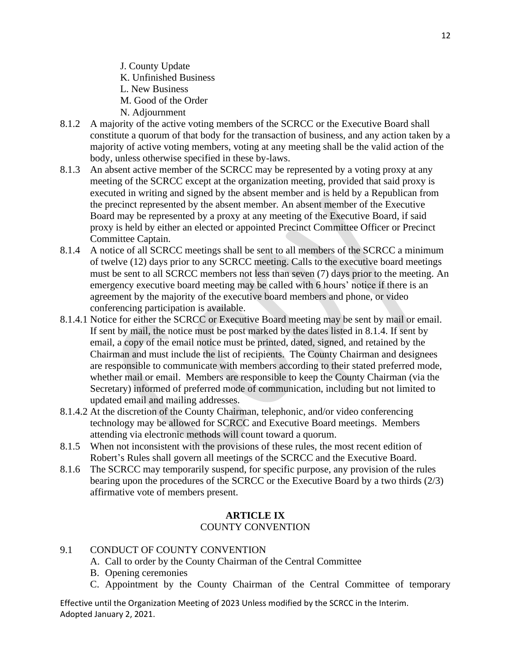J. County Update K. Unfinished Business L. New Business M. Good of the Order N. Adjournment

- 8.1.2 A majority of the active voting members of the SCRCC or the Executive Board shall constitute a quorum of that body for the transaction of business, and any action taken by a majority of active voting members, voting at any meeting shall be the valid action of the body, unless otherwise specified in these by-laws.
- 8.1.3 An absent active member of the SCRCC may be represented by a voting proxy at any meeting of the SCRCC except at the organization meeting, provided that said proxy is executed in writing and signed by the absent member and is held by a Republican from the precinct represented by the absent member. An absent member of the Executive Board may be represented by a proxy at any meeting of the Executive Board, if said proxy is held by either an elected or appointed Precinct Committee Officer or Precinct Committee Captain.
- 8.1.4 A notice of all SCRCC meetings shall be sent to all members of the SCRCC a minimum of twelve (12) days prior to any SCRCC meeting. Calls to the executive board meetings must be sent to all SCRCC members not less than seven (7) days prior to the meeting. An emergency executive board meeting may be called with 6 hours' notice if there is an agreement by the majority of the executive board members and phone, or video conferencing participation is available.
- 8.1.4.1 Notice for either the SCRCC or Executive Board meeting may be sent by mail or email. If sent by mail, the notice must be post marked by the dates listed in 8.1.4. If sent by email, a copy of the email notice must be printed, dated, signed, and retained by the Chairman and must include the list of recipients. The County Chairman and designees are responsible to communicate with members according to their stated preferred mode, whether mail or email. Members are responsible to keep the County Chairman (via the Secretary) informed of preferred mode of communication, including but not limited to updated email and mailing addresses.
- 8.1.4.2 At the discretion of the County Chairman, telephonic, and/or video conferencing technology may be allowed for SCRCC and Executive Board meetings. Members attending via electronic methods will count toward a quorum.
- 8.1.5 When not inconsistent with the provisions of these rules, the most recent edition of Robert's Rules shall govern all meetings of the SCRCC and the Executive Board.
- 8.1.6 The SCRCC may temporarily suspend, for specific purpose, any provision of the rules bearing upon the procedures of the SCRCC or the Executive Board by a two thirds (2/3) affirmative vote of members present.

#### **ARTICLE IX** COUNTY CONVENTION

### 9.1 CONDUCT OF COUNTY CONVENTION

- A. Call to order by the County Chairman of the Central Committee
- B. Opening ceremonies
- C. Appointment by the County Chairman of the Central Committee of temporary